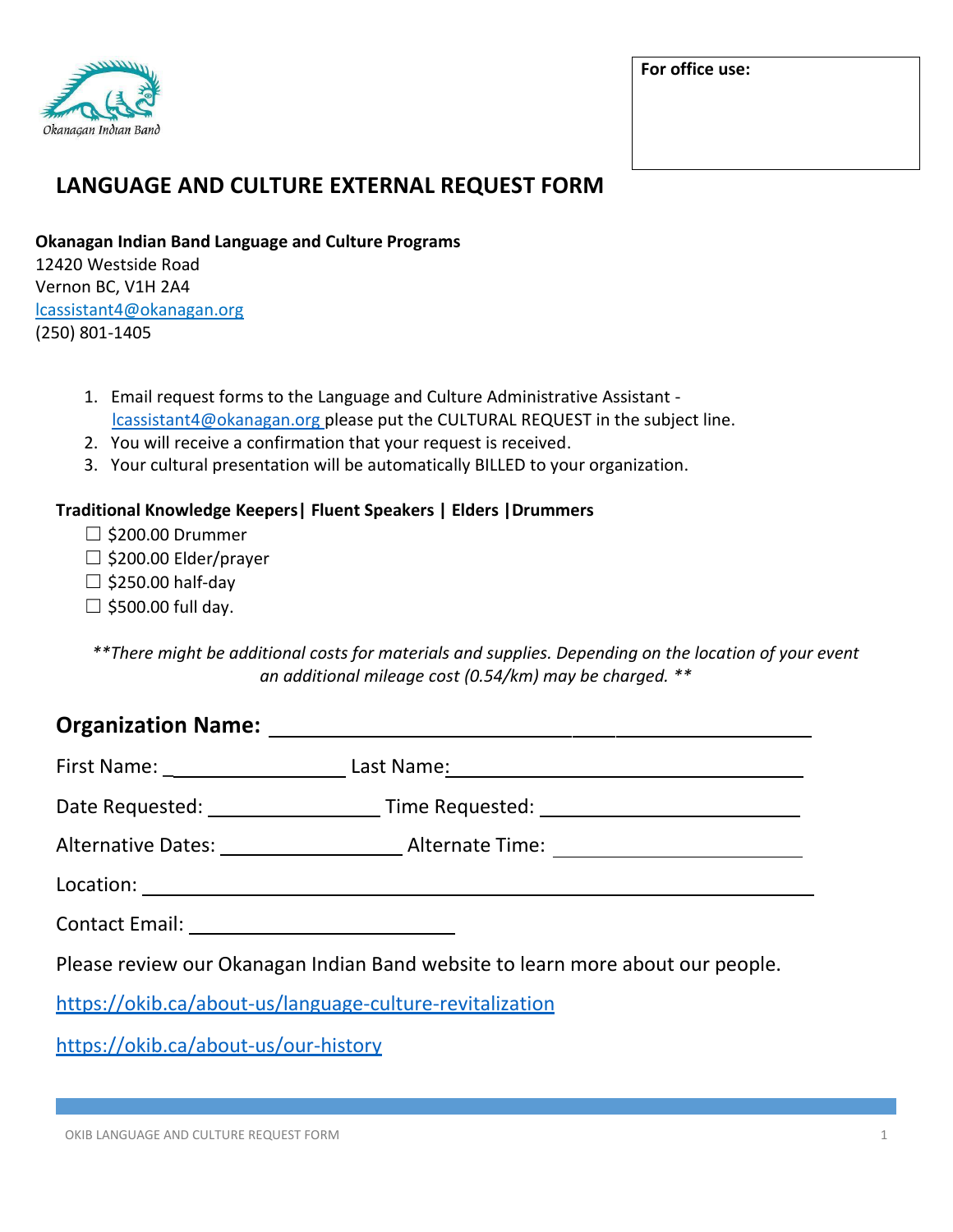

**For office use:**

## **LANGUAGE AND CULTURE EXTERNAL REQUEST FORM**

**Okanagan Indian Band Language and Culture Programs** 12420 Westside Road

Vernon BC, V1H 2A4 lcassistant4@okanagan.org (250) 801-1405

- 1. Email request forms to the Language and Culture Administrative Assistant lcassistant4@okanagan.org please put the CULTURAL REQUEST in the subject line.
- 2. You will receive a confirmation that your request is received.
- 3. Your cultural presentation will be automatically BILLED to your organization.

## **Traditional Knowledge Keepers| Fluent Speakers | Elders |Drummers**

- $\Box$  \$200.00 Drummer
- ☐ \$200.00 Elder/prayer
- $\Box$  \$250.00 half-day
- $\Box$  \$500.00 full day.

*\*\*There might be additional costs for materials and supplies. Depending on the location of your event an additional mileage cost (0.54/km) may be charged. \*\**

## **Organization Name:**

|                                                                                | First Name: _____________________________Last Name: ____________________________ |  |  |  |
|--------------------------------------------------------------------------------|----------------------------------------------------------------------------------|--|--|--|
|                                                                                |                                                                                  |  |  |  |
|                                                                                |                                                                                  |  |  |  |
|                                                                                |                                                                                  |  |  |  |
|                                                                                |                                                                                  |  |  |  |
| Please review our Okanagan Indian Band website to learn more about our people. |                                                                                  |  |  |  |
| https://okib.ca/about-us/language-culture-revitalization                       |                                                                                  |  |  |  |

<https://okib.ca/about-us/our-history>